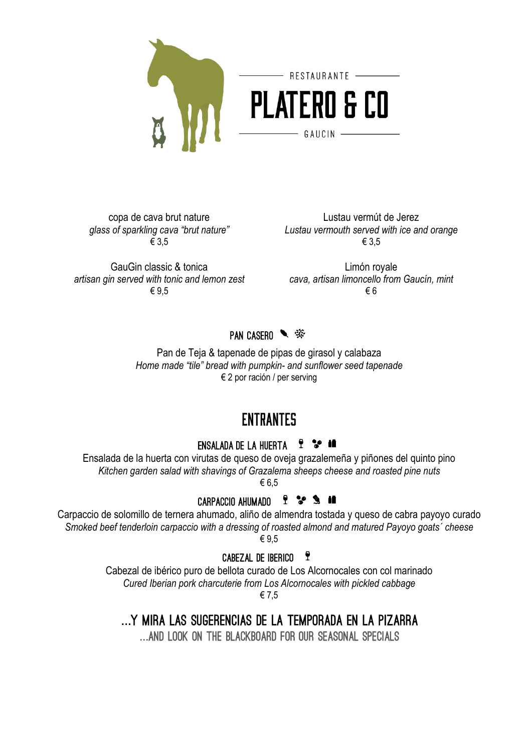

copa de cava brut nature *glass of sparkling cava "brut nature"* € 3,5

GauGin classic & tonica *artisan gin served with tonic and lemon zest cava, artisan limoncello from Gaucín, mint* € 9,5

Lustau vermút de Jerez *Lustau vermouth served with ice and orange* € 3,5

Limón royale € 6

PAN CASERO ● ※

Pan de Teja & tapenade de pipas de girasol y calabaza *Home made "tile" bread with pumpkin- and sunflower seed tapenade* € 2 por ración / per serving

# **ENTRANTES**

### **ENSALADA DE LA HUERTA ? \*** 1

Ensalada de la huerta con virutas de queso de oveja grazalemeña y piñones del quinto pino *Kitchen garden salad with shavings of Grazalema sheeps cheese and roasted pine nuts* € 6,5

## CARPACCIO AHUMADO ? \* \* \*

Carpaccio de solomillo de ternera ahumado, aliño de almendra tostada y queso de cabra payoyo curado *Smoked beef tenderloin carpaccio with a dressing of roasted almond and matured Payoyo goats´ cheese* € 9,5

CABEZAL DE IBERICO<sup>9</sup>

Cabezal de ibérico puro de bellota curado de Los Alcornocales con col marinado *Cured Iberian pork charcuterie from Los Alcornocales with pickled cabbage* € 7,5

... Y MIRA LAS SUGERENCIAS DE LA TEMPORADA EN LA PIZARRA

... AND LOOK ON THE BLACKBOARD FOR OUR SEASONAL SPECIALS